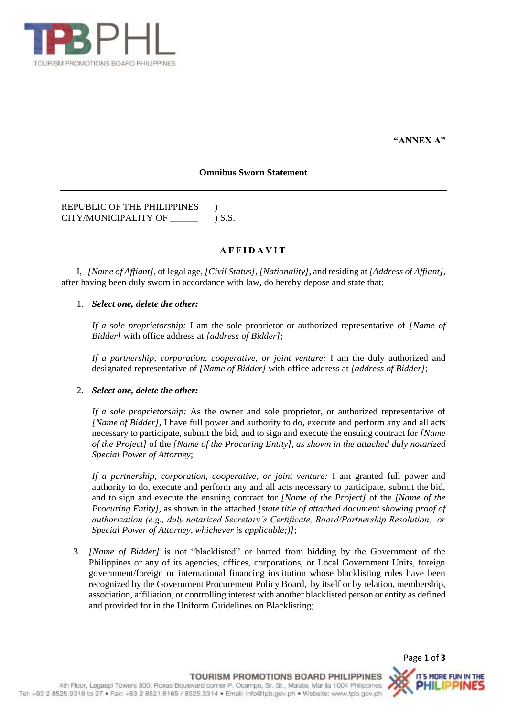

**"ANNEX A"**

### **Omnibus Sworn Statement**

REPUBLIC OF THE PHILIPPINES ) CITY/MUNICIPALITY OF \_\_\_\_\_\_ ) S.S.

# **A F F I D A V I T**

I, *[Name of Affiant]*, of legal age, *[Civil Status]*, *[Nationality]*, and residing at *[Address of Affiant]*, after having been duly sworn in accordance with law, do hereby depose and state that:

## 1. *Select one, delete the other:*

*If a sole proprietorship:* I am the sole proprietor or authorized representative of *[Name of Bidder]* with office address at *[address of Bidder]*;

*If a partnership, corporation, cooperative, or joint venture:* I am the duly authorized and designated representative of *[Name of Bidder]* with office address at *[address of Bidder]*;

## 2. *Select one, delete the other:*

*If a sole proprietorship:* As the owner and sole proprietor, or authorized representative of *[Name of Bidder]*, I have full power and authority to do, execute and perform any and all acts necessary to participate, submit the bid, and to sign and execute the ensuing contract for *[Name of the Project]* of the *[Name of the Procuring Entity], as shown in the attached duly notarized Special Power of Attorney*;

*If a partnership, corporation, cooperative, or joint venture:* I am granted full power and authority to do, execute and perform any and all acts necessary to participate, submit the bid, and to sign and execute the ensuing contract for *[Name of the Project]* of the *[Name of the Procuring Entity],* as shown in the attached *[state title of attached document showing proof of authorization (e.g., duly notarized Secretary's Certificate, Board/Partnership Resolution, or Special Power of Attorney, whichever is applicable;)]*;

3. *[Name of Bidder]* is not "blacklisted" or barred from bidding by the Government of the Philippines or any of its agencies, offices, corporations, or Local Government Units, foreign government/foreign or international financing institution whose blacklisting rules have been recognized by the Government Procurement Policy Board, by itself or by relation, membership, association, affiliation, or controlling interest with another blacklisted person or entity as defined and provided for in the Uniform Guidelines on Blacklisting;

Page **1** of **3**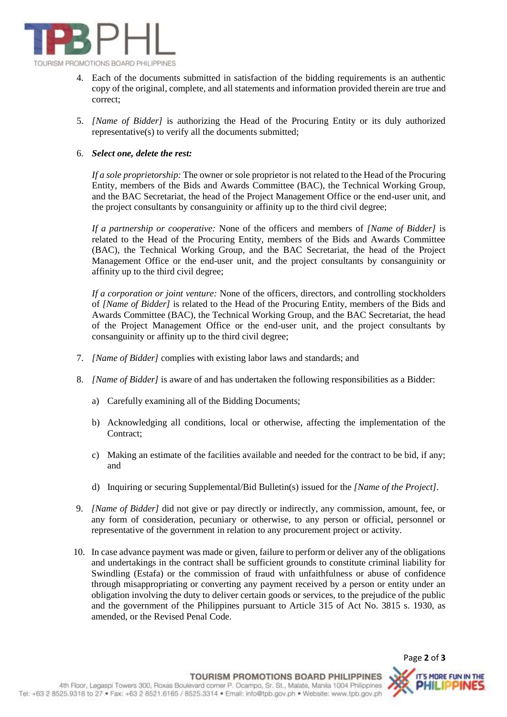

- 4. Each of the documents submitted in satisfaction of the bidding requirements is an authentic copy of the original, complete, and all statements and information provided therein are true and correct;
- 5. *[Name of Bidder]* is authorizing the Head of the Procuring Entity or its duly authorized representative(s) to verify all the documents submitted;

### 6. *Select one, delete the rest:*

*If a sole proprietorship:* The owner or sole proprietor is not related to the Head of the Procuring Entity, members of the Bids and Awards Committee (BAC), the Technical Working Group, and the BAC Secretariat, the head of the Project Management Office or the end-user unit, and the project consultants by consanguinity or affinity up to the third civil degree;

*If a partnership or cooperative:* None of the officers and members of *[Name of Bidder]* is related to the Head of the Procuring Entity, members of the Bids and Awards Committee (BAC), the Technical Working Group, and the BAC Secretariat, the head of the Project Management Office or the end-user unit, and the project consultants by consanguinity or affinity up to the third civil degree;

*If a corporation or joint venture:* None of the officers, directors, and controlling stockholders of *[Name of Bidder]* is related to the Head of the Procuring Entity, members of the Bids and Awards Committee (BAC), the Technical Working Group, and the BAC Secretariat, the head of the Project Management Office or the end-user unit, and the project consultants by consanguinity or affinity up to the third civil degree;

- 7. *[Name of Bidder]* complies with existing labor laws and standards; and
- 8. *[Name of Bidder]* is aware of and has undertaken the following responsibilities as a Bidder:
	- a) Carefully examining all of the Bidding Documents;
	- b) Acknowledging all conditions, local or otherwise, affecting the implementation of the Contract;
	- c) Making an estimate of the facilities available and needed for the contract to be bid, if any; and
	- d) Inquiring or securing Supplemental/Bid Bulletin(s) issued for the *[Name of the Project]*.
- 9. *[Name of Bidder]* did not give or pay directly or indirectly, any commission, amount, fee, or any form of consideration, pecuniary or otherwise, to any person or official, personnel or representative of the government in relation to any procurement project or activity.
- 10. In case advance payment was made or given, failure to perform or deliver any of the obligations and undertakings in the contract shall be sufficient grounds to constitute criminal liability for Swindling (Estafa) or the commission of fraud with unfaithfulness or abuse of confidence through misappropriating or converting any payment received by a person or entity under an obligation involving the duty to deliver certain goods or services, to the prejudice of the public and the government of the Philippines pursuant to Article 315 of Act No. 3815 s. 1930, as amended, or the Revised Penal Code.

Page **2** of **3**